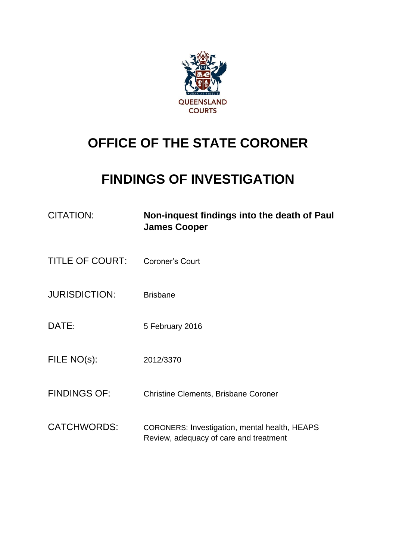

## **OFFICE OF THE STATE CORONER**

## **FINDINGS OF INVESTIGATION**

| <b>CITATION:</b>       | Non-inquest findings into the death of Paul<br><b>James Cooper</b>                             |
|------------------------|------------------------------------------------------------------------------------------------|
| <b>TITLE OF COURT:</b> | Coroner's Court                                                                                |
| <b>JURISDICTION:</b>   | <b>Brisbane</b>                                                                                |
| DATE:                  | 5 February 2016                                                                                |
| FILE NO(s):            | 2012/3370                                                                                      |
| <b>FINDINGS OF:</b>    | <b>Christine Clements, Brisbane Coroner</b>                                                    |
| <b>CATCHWORDS:</b>     | <b>CORONERS: Investigation, mental health, HEAPS</b><br>Review, adequacy of care and treatment |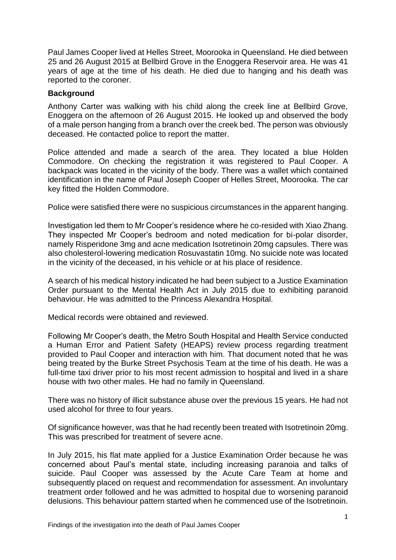Paul James Cooper lived at Helles Street, Moorooka in Queensland. He died between 25 and 26 August 2015 at Bellbird Grove in the Enoggera Reservoir area. He was 41 years of age at the time of his death. He died due to hanging and his death was reported to the coroner.

## **Background**

Anthony Carter was walking with his child along the creek line at Bellbird Grove, Enoggera on the afternoon of 26 August 2015. He looked up and observed the body of a male person hanging from a branch over the creek bed. The person was obviously deceased. He contacted police to report the matter.

Police attended and made a search of the area. They located a blue Holden Commodore. On checking the registration it was registered to Paul Cooper. A backpack was located in the vicinity of the body. There was a wallet which contained identification in the name of Paul Joseph Cooper of Helles Street, Moorooka. The car key fitted the Holden Commodore.

Police were satisfied there were no suspicious circumstances in the apparent hanging.

Investigation led them to Mr Cooper's residence where he co-resided with Xiao Zhang. They inspected Mr Cooper's bedroom and noted medication for bi-polar disorder, namely Risperidone 3mg and acne medication Isotretinoin 20mg capsules. There was also cholesterol-lowering medication Rosuvastatin 10mg. No suicide note was located in the vicinity of the deceased, in his vehicle or at his place of residence.

A search of his medical history indicated he had been subject to a Justice Examination Order pursuant to the Mental Health Act in July 2015 due to exhibiting paranoid behaviour. He was admitted to the Princess Alexandra Hospital.

Medical records were obtained and reviewed.

Following Mr Cooper's death, the Metro South Hospital and Health Service conducted a Human Error and Patient Safety (HEAPS) review process regarding treatment provided to Paul Cooper and interaction with him. That document noted that he was being treated by the Burke Street Psychosis Team at the time of his death. He was a full-time taxi driver prior to his most recent admission to hospital and lived in a share house with two other males. He had no family in Queensland.

There was no history of illicit substance abuse over the previous 15 years. He had not used alcohol for three to four years.

Of significance however, was that he had recently been treated with Isotretinoin 20mg. This was prescribed for treatment of severe acne.

In July 2015, his flat mate applied for a Justice Examination Order because he was concerned about Paul's mental state, including increasing paranoia and talks of suicide. Paul Cooper was assessed by the Acute Care Team at home and subsequently placed on request and recommendation for assessment. An involuntary treatment order followed and he was admitted to hospital due to worsening paranoid delusions. This behaviour pattern started when he commenced use of the Isotretinoin.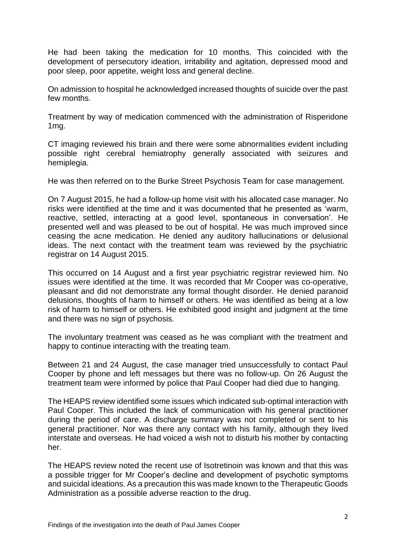He had been taking the medication for 10 months. This coincided with the development of persecutory ideation, irritability and agitation, depressed mood and poor sleep, poor appetite, weight loss and general decline.

On admission to hospital he acknowledged increased thoughts of suicide over the past few months.

Treatment by way of medication commenced with the administration of Risperidone 1mg.

CT imaging reviewed his brain and there were some abnormalities evident including possible right cerebral hemiatrophy generally associated with seizures and hemiplegia.

He was then referred on to the Burke Street Psychosis Team for case management.

On 7 August 2015, he had a follow-up home visit with his allocated case manager. No risks were identified at the time and it was documented that he presented as 'warm, reactive, settled, interacting at a good level, spontaneous in conversation'. He presented well and was pleased to be out of hospital. He was much improved since ceasing the acne medication. He denied any auditory hallucinations or delusional ideas. The next contact with the treatment team was reviewed by the psychiatric registrar on 14 August 2015.

This occurred on 14 August and a first year psychiatric registrar reviewed him. No issues were identified at the time. It was recorded that Mr Cooper was co-operative, pleasant and did not demonstrate any formal thought disorder. He denied paranoid delusions, thoughts of harm to himself or others. He was identified as being at a low risk of harm to himself or others. He exhibited good insight and judgment at the time and there was no sign of psychosis.

The involuntary treatment was ceased as he was compliant with the treatment and happy to continue interacting with the treating team.

Between 21 and 24 August, the case manager tried unsuccessfully to contact Paul Cooper by phone and left messages but there was no follow-up. On 26 August the treatment team were informed by police that Paul Cooper had died due to hanging.

The HEAPS review identified some issues which indicated sub-optimal interaction with Paul Cooper. This included the lack of communication with his general practitioner during the period of care. A discharge summary was not completed or sent to his general practitioner. Nor was there any contact with his family, although they lived interstate and overseas. He had voiced a wish not to disturb his mother by contacting her.

The HEAPS review noted the recent use of Isotretinoin was known and that this was a possible trigger for Mr Cooper's decline and development of psychotic symptoms and suicidal ideations. As a precaution this was made known to the Therapeutic Goods Administration as a possible adverse reaction to the drug.